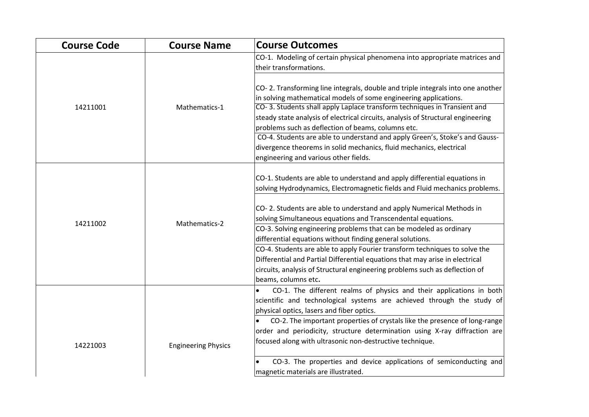| <b>Course Code</b> | <b>Course Name</b>         | <b>Course Outcomes</b>                                                                                                                                                                                                                                                                                                                                                    |
|--------------------|----------------------------|---------------------------------------------------------------------------------------------------------------------------------------------------------------------------------------------------------------------------------------------------------------------------------------------------------------------------------------------------------------------------|
|                    |                            | CO-1. Modeling of certain physical phenomena into appropriate matrices and                                                                                                                                                                                                                                                                                                |
|                    |                            | their transformations.                                                                                                                                                                                                                                                                                                                                                    |
| 14211001           | Mathematics-1              | CO-2. Transforming line integrals, double and triple integrals into one another<br>in solving mathematical models of some engineering applications.<br>CO-3. Students shall apply Laplace transform techniques in Transient and<br>steady state analysis of electrical circuits, analysis of Structural engineering<br>problems such as deflection of beams, columns etc. |
|                    |                            | CO-4. Students are able to understand and apply Green's, Stoke's and Gauss-                                                                                                                                                                                                                                                                                               |
|                    |                            | divergence theorems in solid mechanics, fluid mechanics, electrical                                                                                                                                                                                                                                                                                                       |
|                    |                            | engineering and various other fields.                                                                                                                                                                                                                                                                                                                                     |
|                    |                            | CO-1. Students are able to understand and apply differential equations in<br>solving Hydrodynamics, Electromagnetic fields and Fluid mechanics problems.                                                                                                                                                                                                                  |
| 14211002           | Mathematics-2              | CO-2. Students are able to understand and apply Numerical Methods in<br>solving Simultaneous equations and Transcendental equations.                                                                                                                                                                                                                                      |
|                    |                            | CO-3. Solving engineering problems that can be modeled as ordinary                                                                                                                                                                                                                                                                                                        |
|                    |                            | differential equations without finding general solutions.                                                                                                                                                                                                                                                                                                                 |
|                    |                            | CO-4. Students are able to apply Fourier transform techniques to solve the<br>Differential and Partial Differential equations that may arise in electrical                                                                                                                                                                                                                |
|                    |                            | circuits, analysis of Structural engineering problems such as deflection of                                                                                                                                                                                                                                                                                               |
|                    |                            | beams, columns etc.                                                                                                                                                                                                                                                                                                                                                       |
|                    |                            | CO-1. The different realms of physics and their applications in both<br>$\bullet$                                                                                                                                                                                                                                                                                         |
|                    |                            | scientific and technological systems are achieved through the study of                                                                                                                                                                                                                                                                                                    |
|                    |                            | physical optics, lasers and fiber optics.                                                                                                                                                                                                                                                                                                                                 |
|                    |                            | CO-2. The important properties of crystals like the presence of long-range                                                                                                                                                                                                                                                                                                |
| 14221003           |                            | order and periodicity, structure determination using X-ray diffraction are                                                                                                                                                                                                                                                                                                |
|                    | <b>Engineering Physics</b> | focused along with ultrasonic non-destructive technique.                                                                                                                                                                                                                                                                                                                  |
|                    |                            | CO-3. The properties and device applications of semiconducting and                                                                                                                                                                                                                                                                                                        |
|                    |                            | magnetic materials are illustrated.                                                                                                                                                                                                                                                                                                                                       |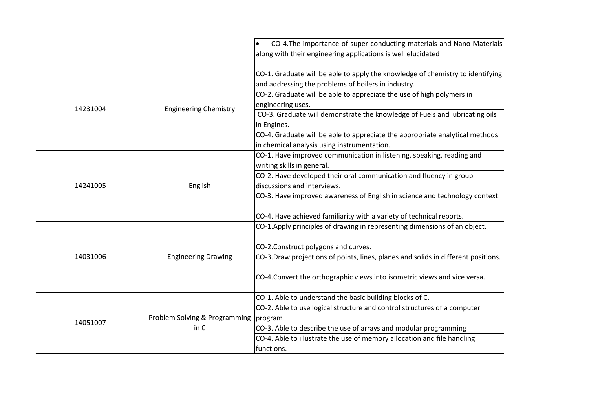|          |                                          | CO-4. The importance of super conducting materials and Nano-Materials<br>along with their engineering applications is well elucidated |
|----------|------------------------------------------|---------------------------------------------------------------------------------------------------------------------------------------|
|          |                                          | CO-1. Graduate will be able to apply the knowledge of chemistry to identifying<br>and addressing the problems of boilers in industry. |
|          |                                          | CO-2. Graduate will be able to appreciate the use of high polymers in                                                                 |
|          |                                          | engineering uses.                                                                                                                     |
| 14231004 | <b>Engineering Chemistry</b>             | CO-3. Graduate will demonstrate the knowledge of Fuels and lubricating oils                                                           |
|          |                                          | in Engines.                                                                                                                           |
|          |                                          | CO-4. Graduate will be able to appreciate the appropriate analytical methods                                                          |
|          |                                          | in chemical analysis using instrumentation.                                                                                           |
|          |                                          | CO-1. Have improved communication in listening, speaking, reading and                                                                 |
|          |                                          | writing skills in general.                                                                                                            |
|          |                                          | CO-2. Have developed their oral communication and fluency in group                                                                    |
| 14241005 | English                                  | discussions and interviews.                                                                                                           |
|          |                                          | CO-3. Have improved awareness of English in science and technology context.                                                           |
|          |                                          | CO-4. Have achieved familiarity with a variety of technical reports.                                                                  |
|          |                                          | CO-1.Apply principles of drawing in representing dimensions of an object.                                                             |
|          | <b>Engineering Drawing</b>               | CO-2.Construct polygons and curves.                                                                                                   |
| 14031006 |                                          | CO-3.Draw projections of points, lines, planes and solids in different positions.                                                     |
|          |                                          | CO-4. Convert the orthographic views into isometric views and vice versa.                                                             |
|          |                                          | CO-1. Able to understand the basic building blocks of C.                                                                              |
| 14051007 |                                          | CO-2. Able to use logical structure and control structures of a computer                                                              |
|          | Problem Solving & Programming   program. |                                                                                                                                       |
|          | in C                                     | CO-3. Able to describe the use of arrays and modular programming                                                                      |
|          |                                          | CO-4. Able to illustrate the use of memory allocation and file handling                                                               |
|          |                                          | functions.                                                                                                                            |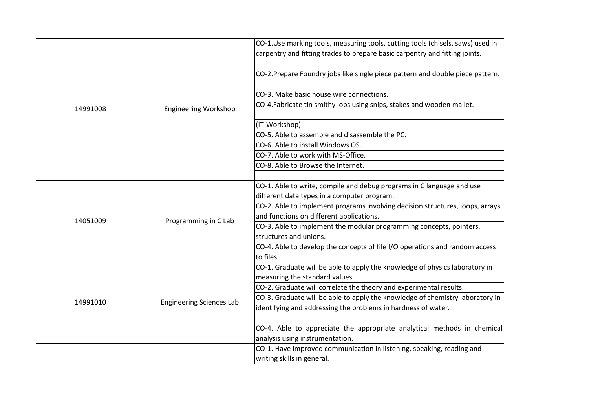|          |                                 | CO-1.Use marking tools, measuring tools, cutting tools (chisels, saws) used in<br>carpentry and fitting trades to prepare basic carpentry and fitting joints. |
|----------|---------------------------------|---------------------------------------------------------------------------------------------------------------------------------------------------------------|
|          |                                 | CO-2. Prepare Foundry jobs like single piece pattern and double piece pattern.                                                                                |
|          |                                 | CO-3. Make basic house wire connections.                                                                                                                      |
| 14991008 | <b>Engineering Workshop</b>     | CO-4.Fabricate tin smithy jobs using snips, stakes and wooden mallet.                                                                                         |
|          |                                 | (IT-Workshop)                                                                                                                                                 |
|          |                                 | CO-5. Able to assemble and disassemble the PC.                                                                                                                |
|          |                                 | CO-6. Able to install Windows OS.                                                                                                                             |
|          |                                 | CO-7. Able to work with MS-Office.                                                                                                                            |
|          |                                 | CO-8. Able to Browse the Internet.                                                                                                                            |
|          |                                 |                                                                                                                                                               |
|          | Programming in C Lab            | CO-1. Able to write, compile and debug programs in C language and use                                                                                         |
|          |                                 | different data types in a computer program.                                                                                                                   |
|          |                                 | CO-2. Able to implement programs involving decision structures, loops, arrays                                                                                 |
| 14051009 |                                 | and functions on different applications.                                                                                                                      |
|          |                                 | CO-3. Able to implement the modular programming concepts, pointers,                                                                                           |
|          |                                 | structures and unions.                                                                                                                                        |
|          |                                 | CO-4. Able to develop the concepts of file I/O operations and random access                                                                                   |
|          |                                 | to files                                                                                                                                                      |
|          |                                 | CO-1. Graduate will be able to apply the knowledge of physics laboratory in                                                                                   |
|          |                                 | measuring the standard values.                                                                                                                                |
| 14991010 |                                 | CO-2. Graduate will correlate the theory and experimental results.                                                                                            |
|          | <b>Engineering Sciences Lab</b> | CO-3. Graduate will be able to apply the knowledge of chemistry laboratory in                                                                                 |
|          |                                 | identifying and addressing the problems in hardness of water.                                                                                                 |
|          |                                 | CO-4. Able to appreciate the appropriate analytical methods in chemical                                                                                       |
|          |                                 | analysis using instrumentation.                                                                                                                               |
|          |                                 | CO-1. Have improved communication in listening, speaking, reading and                                                                                         |
|          |                                 | writing skills in general.                                                                                                                                    |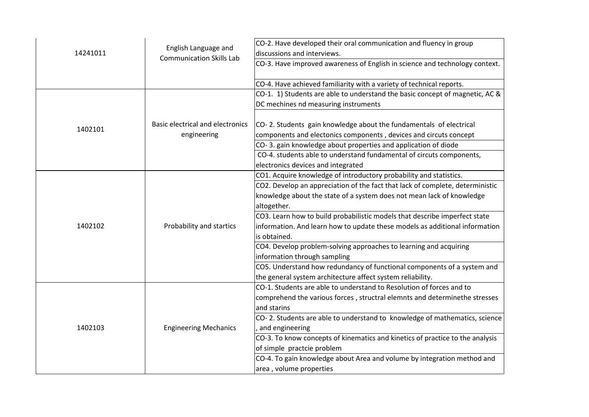| 14241011 | English Language and                    | CO-2. Have developed their oral communication and fluency in group<br>discussions and interviews. |
|----------|-----------------------------------------|---------------------------------------------------------------------------------------------------|
|          | <b>Communication Skills Lab</b>         | CO-3. Have improved awareness of English in science and technology context.                       |
|          |                                         | CO-4. Have achieved familiarity with a variety of technical reports.                              |
|          |                                         | CO-1. 1) Students are able to understand the basic concept of magnetic, AC &                      |
|          |                                         | DC mechines nd measuring instruments                                                              |
|          |                                         |                                                                                                   |
| 1402101  | <b>Basic electrical and electronics</b> | CO-2. Students gain knowledge about the fundamentals of electrical                                |
|          | engineering                             | components and electonics components, devices and circuts concept                                 |
|          |                                         | CO-3. gain knowledge about properties and application of diode                                    |
|          |                                         | CO-4. students able to understand fundamental of circuts components,                              |
|          |                                         | electronics devices and integrated                                                                |
|          |                                         | CO1. Acquire knowledge of introductory probability and statistics.                                |
|          |                                         | CO2. Develop an appreciation of the fact that lack of complete, deterministic                     |
|          |                                         | knowledge about the state of a system does not mean lack of knowledge                             |
|          |                                         | altogether.                                                                                       |
|          |                                         | CO3. Learn how to build probabilistic models that describe imperfect state                        |
| 1402102  | Probability and startics                | information. And learn how to update these models as additional information                       |
|          |                                         | is obtained.                                                                                      |
|          |                                         | CO4. Develop problem-solving approaches to learning and acquiring                                 |
|          |                                         | information through sampling                                                                      |
|          |                                         | CO5. Understand how redundancy of functional components of a system and                           |
|          |                                         | the general system architecture affect system reliability.                                        |
|          |                                         | CO-1. Students are able to understand to Resolution of forces and to                              |
|          |                                         | comprehend the various forces, structral elemnts and determinethe stresses                        |
| 1402103  |                                         | and starins                                                                                       |
|          |                                         | CO-2. Students are able to understand to knowledge of mathematics, science                        |
|          | <b>Engineering Mechanics</b>            | and engineering                                                                                   |
|          |                                         | CO-3. To know concepts of kinematics and kinetics of practice to the analysis                     |
|          |                                         | of simple practcie problem                                                                        |
|          |                                         | CO-4. To gain knowledge about Area and volume by integration method and                           |
|          |                                         | area, volume properties                                                                           |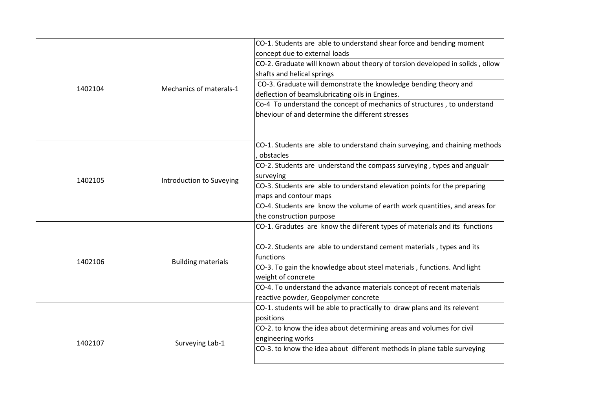| 1402104 | Mechanics of materals-1   | CO-1. Students are able to understand shear force and bending moment<br>concept due to external loads<br>CO-2. Graduate will known about theory of torsion developed in solids, ollow<br>shafts and helical springs<br>CO-3. Graduate will demonstrate the knowledge bending theory and<br>deflection of beamslubricating oils in Engines.<br>Co-4 To understand the concept of mechanics of structures, to understand<br>bheviour of and determine the different stresses |
|---------|---------------------------|----------------------------------------------------------------------------------------------------------------------------------------------------------------------------------------------------------------------------------------------------------------------------------------------------------------------------------------------------------------------------------------------------------------------------------------------------------------------------|
| 1402105 | Introduction to Suveying  | CO-1. Students are able to understand chain surveying, and chaining methods<br>obstacles<br>CO-2. Students are understand the compass surveying, types and angualr<br>surveying<br>CO-3. Students are able to understand elevation points for the preparing<br>maps and contour maps<br>CO-4. Students are know the volume of earth work quantities, and areas for<br>the construction purpose                                                                             |
| 1402106 | <b>Building materials</b> | CO-1. Gradutes are know the diiferent types of materials and its functions<br>CO-2. Students are able to understand cement materials, types and its<br>functions<br>CO-3. To gain the knowledge about steel materials, functions. And light<br>weight of concrete<br>CO-4. To understand the advance materials concept of recent materials<br>reactive powder, Geopolymer concrete                                                                                         |
| 1402107 | Surveying Lab-1           | CO-1. students will be able to practically to draw plans and its relevent<br>positions<br>CO-2. to know the idea about determining areas and volumes for civil<br>engineering works<br>CO-3. to know the idea about different methods in plane table surveying                                                                                                                                                                                                             |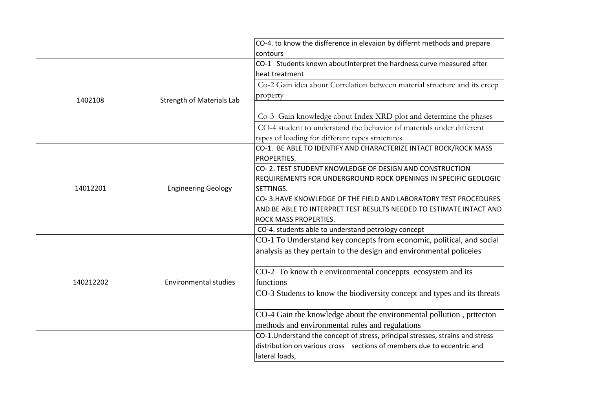|           |                                  | CO-4. to know the disfference in elevaion by differnt methods and prepare      |
|-----------|----------------------------------|--------------------------------------------------------------------------------|
|           |                                  | contours                                                                       |
|           |                                  | CO-1 Students known aboutInterpret the hardness curve measured after           |
|           |                                  | heat treatment                                                                 |
|           |                                  | Co-2 Gain idea about Correlation between material structure and its creep      |
| 1402108   | <b>Strength of Materials Lab</b> | property                                                                       |
|           |                                  |                                                                                |
|           |                                  | Co-3 Gain knowledge about Index XRD plot and determine the phases              |
|           |                                  | CO-4 student to understand the behavior of materials under different           |
|           |                                  | types of loading for different types structures                                |
|           |                                  | CO-1. BE ABLE TO IDENTIFY AND CHARACTERIZE INTACT ROCK/ROCK MASS               |
|           |                                  | <b>PROPERTIES.</b>                                                             |
|           |                                  | CO-2. TEST STUDENT KNOWLEDGE OF DESIGN AND CONSTRUCTION                        |
|           |                                  | REQUIREMENTS FOR UNDERGROUND ROCK OPENINGS IN SPECIFIC GEOLOGIC                |
| 14012201  | <b>Engineering Geology</b>       | <b>SETTINGS.</b>                                                               |
|           |                                  | CO-3.HAVE KNOWLEDGE OF THE FIELD AND LABORATORY TEST PROCEDURES                |
|           |                                  | AND BE ABLE TO INTERPRET TEST RESULTS NEEDED TO ESTIMATE INTACT AND            |
|           |                                  | ROCK MASS PROPERTIES.                                                          |
|           |                                  | CO-4. students able to understand petrology concept                            |
|           |                                  | CO-1 To Umderstand key concepts from economic, political, and social           |
|           |                                  | analysis as they pertain to the design and environmental policeies             |
|           |                                  |                                                                                |
|           |                                  | CO-2 To know the environmental conceppts ecosystem and its                     |
| 140212202 | <b>Environmental studies</b>     | functions                                                                      |
|           |                                  | CO-3 Students to know the biodiversity concept and types and its threats       |
|           |                                  |                                                                                |
|           |                                  | CO-4 Gain the knowledge about the environmental pollution, prttecton           |
|           |                                  | methods and environmental rules and regulations                                |
|           |                                  | CO-1. Understand the concept of stress, principal stresses, strains and stress |
|           |                                  | distribution on various cross sections of members due to eccentric and         |
|           |                                  | lateral loads,                                                                 |
|           |                                  |                                                                                |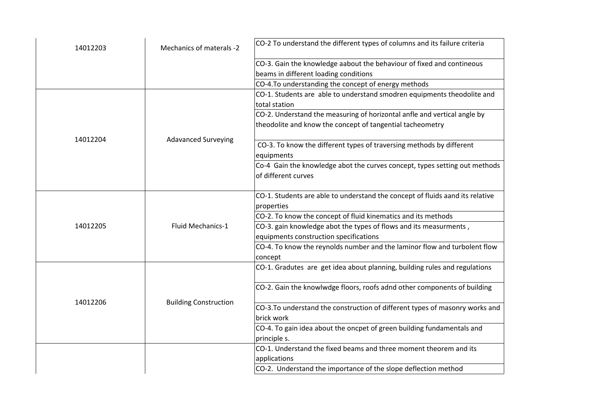| 14012203 | Mechanics of materals -2     | CO-2 To understand the different types of columns and its failure criteria    |
|----------|------------------------------|-------------------------------------------------------------------------------|
|          |                              | CO-3. Gain the knowledge aabout the behaviour of fixed and contineous         |
|          |                              | beams in different loading conditions                                         |
|          |                              | CO-4.To understanding the concept of energy methods                           |
|          |                              | CO-1. Students are able to understand smodren equipments theodolite and       |
|          |                              | total station                                                                 |
|          |                              | CO-2. Understand the measuring of horizontal anfle and vertical angle by      |
|          |                              | theodolite and know the concept of tangential tacheometry                     |
| 14012204 | <b>Adavanced Surveying</b>   |                                                                               |
|          |                              | CO-3. To know the different types of traversing methods by different          |
|          |                              | equipments                                                                    |
|          |                              | Co-4 Gain the knowledge abot the curves concept, types setting out methods    |
|          |                              | of different curves                                                           |
|          |                              | CO-1. Students are able to understand the concept of fluids aand its relative |
| 14012205 | Fluid Mechanics-1            | properties                                                                    |
|          |                              | CO-2. To know the concept of fluid kinematics and its methods                 |
|          |                              | CO-3. gain knowledge abot the types of flows and its measurments,             |
|          |                              | equipments construction specifications                                        |
|          |                              | CO-4. To know the reynolds number and the laminor flow and turbolent flow     |
|          |                              | concept                                                                       |
|          |                              | CO-1. Gradutes are get idea about planning, building rules and regulations    |
|          |                              |                                                                               |
|          |                              | CO-2. Gain the knowlwdge floors, roofs adnd other components of building      |
| 14012206 | <b>Building Construction</b> | CO-3. To understand the construction of different types of masonry works and  |
|          |                              | brick work                                                                    |
|          |                              | CO-4. To gain idea about the oncpet of green building fundamentals and        |
|          |                              | principle s.                                                                  |
|          |                              | CO-1. Understand the fixed beams and three moment theorem and its             |
|          |                              | applications                                                                  |
|          |                              | CO-2. Understand the importance of the slope deflection method                |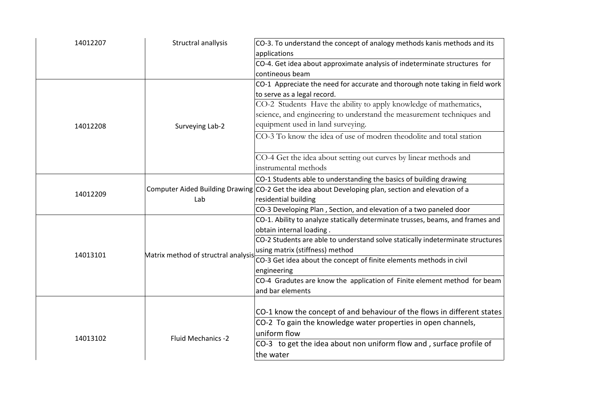| 14012207 | Structral anallysis                 | CO-3. To understand the concept of analogy methods kanis methods and its                            |
|----------|-------------------------------------|-----------------------------------------------------------------------------------------------------|
|          |                                     | applications                                                                                        |
|          |                                     | CO-4. Get idea about approximate analysis of indeterminate structures for                           |
|          |                                     | contineous beam                                                                                     |
|          |                                     | CO-1 Appreciate the need for accurate and thorough note taking in field work                        |
|          |                                     | to serve as a legal record.                                                                         |
|          |                                     | $\boxed{\text{CO-2}}$ Students Have the ability to apply knowledge of mathematics,                  |
|          |                                     | science, and engineering to understand the measurement techniques and                               |
| 14012208 | Surveying Lab-2                     | equipment used in land surveying.                                                                   |
|          |                                     | CO-3 To know the idea of use of modren theodolite and total station                                 |
|          |                                     | CO-4 Get the idea about setting out curves by linear methods and                                    |
|          |                                     | instrumental methods                                                                                |
|          |                                     | CO-1 Students able to understanding the basics of building drawing                                  |
| 14012209 |                                     | Computer Aided Building Drawing CO-2 Get the idea about Developing plan, section and elevation of a |
|          | Lab                                 | residential building                                                                                |
|          |                                     | CO-3 Developing Plan, Section, and elevation of a two paneled door                                  |
|          |                                     | CO-1. Ability to analyze statically determinate trusses, beams, and frames and                      |
|          | Matrix method of structral analysis | obtain internal loading.                                                                            |
|          |                                     | CO-2 Students are able to understand solve statically indeterminate structures                      |
| 14013101 |                                     | using matrix (stiffness) method                                                                     |
|          |                                     | CO-3 Get idea about the concept of finite elements methods in civil                                 |
|          |                                     | engineering                                                                                         |
|          |                                     | CO-4 Gradutes are know the application of Finite element method for beam                            |
|          |                                     | and bar elements                                                                                    |
|          |                                     |                                                                                                     |
|          |                                     | CO-1 know the concept of and behaviour of the flows in different states                             |
|          | Fluid Mechanics -2                  | CO-2 To gain the knowledge water properties in open channels,                                       |
|          |                                     | uniform flow                                                                                        |
| 14013102 |                                     | CO-3 to get the idea about non uniform flow and, surface profile of                                 |
|          |                                     | the water                                                                                           |
|          |                                     |                                                                                                     |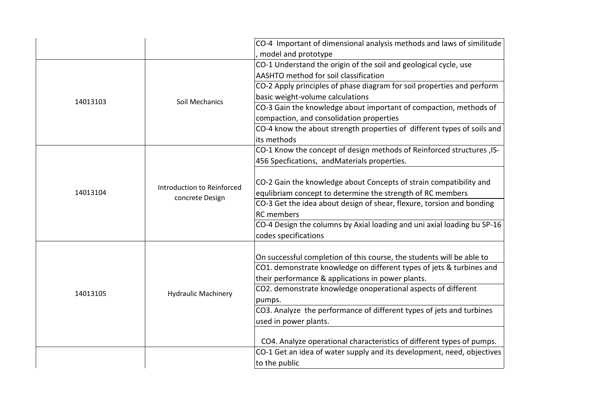|          |                                               | CO-4 Important of dimensional analysis methods and laws of similitude<br>model and prototype                                                                                                                                                                                                                                      |
|----------|-----------------------------------------------|-----------------------------------------------------------------------------------------------------------------------------------------------------------------------------------------------------------------------------------------------------------------------------------------------------------------------------------|
|          |                                               | CO-1 Understand the origin of the soil and geological cycle, use<br>AASHTO method for soil classification                                                                                                                                                                                                                         |
|          |                                               | CO-2 Apply principles of phase diagram for soil properties and perform                                                                                                                                                                                                                                                            |
| 14013103 | Soil Mechanics                                | basic weight-volume calculations                                                                                                                                                                                                                                                                                                  |
|          |                                               | CO-3 Gain the knowledge about important of compaction, methods of                                                                                                                                                                                                                                                                 |
|          |                                               | compaction, and consolidation properties                                                                                                                                                                                                                                                                                          |
|          |                                               | CO-4 know the about strength properties of different types of soils and                                                                                                                                                                                                                                                           |
|          |                                               | its methods                                                                                                                                                                                                                                                                                                                       |
|          |                                               | CO-1 Know the concept of design methods of Reinforced structures, IS-                                                                                                                                                                                                                                                             |
|          |                                               | 456 Specfications, andMaterials properties.                                                                                                                                                                                                                                                                                       |
| 14013104 | Introduction to Reinforced<br>concrete Design | CO-2 Gain the knowledge about Concepts of strain compatibility and<br>equlibriam concept to determine the strength of RC members<br>CO-3 Get the idea about design of shear, flexure, torsion and bonding<br><b>RC</b> members<br>CO-4 Design the columns by Axial loading and uni axial loading bu SP-16<br>codes specifications |
|          |                                               | On successful completion of this course, the students will be able to                                                                                                                                                                                                                                                             |
|          |                                               | CO1. demonstrate knowledge on different types of jets & turbines and                                                                                                                                                                                                                                                              |
| 14013105 |                                               | their performance & applications in power plants.                                                                                                                                                                                                                                                                                 |
|          |                                               | CO2. demonstrate knowledge onoperational aspects of different                                                                                                                                                                                                                                                                     |
|          | <b>Hydraulic Machinery</b>                    | pumps.                                                                                                                                                                                                                                                                                                                            |
|          |                                               | CO3. Analyze the performance of different types of jets and turbines                                                                                                                                                                                                                                                              |
|          |                                               | used in power plants.                                                                                                                                                                                                                                                                                                             |
|          |                                               | CO4. Analyze operational characteristics of different types of pumps.                                                                                                                                                                                                                                                             |
|          |                                               | CO-1 Get an idea of water supply and its development, need, objectives                                                                                                                                                                                                                                                            |
|          |                                               | to the public                                                                                                                                                                                                                                                                                                                     |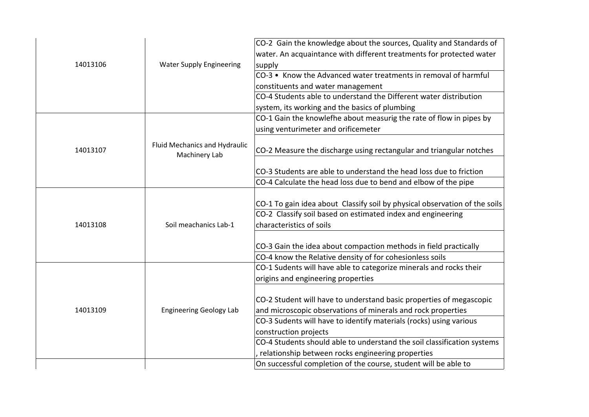|          |                                 | CO-2 Gain the knowledge about the sources, Quality and Standards of        |
|----------|---------------------------------|----------------------------------------------------------------------------|
|          |                                 | water. An acquaintance with different treatments for protected water       |
| 14013106 | <b>Water Supply Engineering</b> | supply                                                                     |
|          |                                 | CO-3 • Know the Advanced water treatments in removal of harmful            |
|          |                                 | constituents and water management                                          |
|          |                                 | CO-4 Students able to understand the Different water distribution          |
|          |                                 | system, its working and the basics of plumbing                             |
|          |                                 | CO-1 Gain the knowlefhe about measurig the rate of flow in pipes by        |
|          |                                 | using venturimeter and orificemeter                                        |
|          | Fluid Mechanics and Hydraulic   |                                                                            |
| 14013107 | Machinery Lab                   | CO-2 Measure the discharge using rectangular and triangular notches        |
|          |                                 |                                                                            |
|          |                                 | CO-3 Students are able to understand the head loss due to friction         |
|          |                                 | CO-4 Calculate the head loss due to bend and elbow of the pipe             |
|          |                                 |                                                                            |
|          |                                 | CO-1 To gain idea about Classify soil by physical observation of the soils |
|          |                                 | CO-2 Classify soil based on estimated index and engineering                |
| 14013108 | Soil meachanics Lab-1           | characteristics of soils                                                   |
|          |                                 |                                                                            |
|          |                                 | CO-3 Gain the idea about compaction methods in field practically           |
|          |                                 | CO-4 know the Relative density of for cohesionless soils                   |
|          |                                 | CO-1 Sudents will have able to categorize minerals and rocks their         |
|          |                                 | origins and engineering properties                                         |
|          |                                 |                                                                            |
|          |                                 | CO-2 Student will have to understand basic properties of megascopic        |
| 14013109 | <b>Engineering Geology Lab</b>  | and microscopic observations of minerals and rock properties               |
|          |                                 | CO-3 Sudents will have to identify materials (rocks) using various         |
|          |                                 | construction projects                                                      |
|          |                                 | CO-4 Students should able to understand the soil classification systems    |
|          |                                 | relationship between rocks engineering properties                          |
|          |                                 | On successful completion of the course, student will be able to            |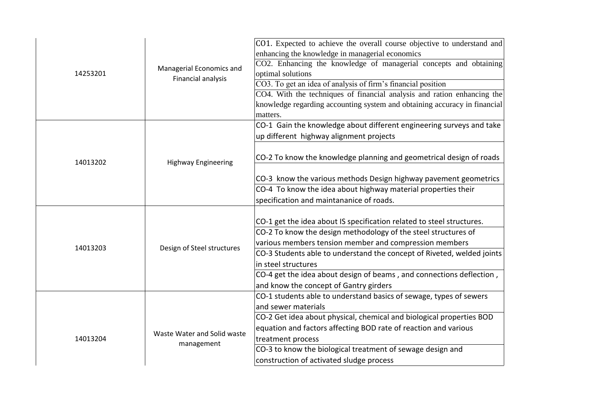| 14253201 | Managerial Economics and<br>Financial analysis | CO1. Expected to achieve the overall course objective to understand and<br>enhancing the knowledge in managerial economics<br>CO2. Enhancing the knowledge of managerial concepts and obtaining<br>optimal solutions<br>CO3. To get an idea of analysis of firm's financial position<br>CO4. With the techniques of financial analysis and ration enhancing the<br>knowledge regarding accounting system and obtaining accuracy in financial<br>matters. |
|----------|------------------------------------------------|----------------------------------------------------------------------------------------------------------------------------------------------------------------------------------------------------------------------------------------------------------------------------------------------------------------------------------------------------------------------------------------------------------------------------------------------------------|
|          |                                                | CO-1 Gain the knowledge about different engineering surveys and take<br>up different highway alignment projects                                                                                                                                                                                                                                                                                                                                          |
| 14013202 | <b>Highway Engineering</b>                     | CO-2 To know the knowledge planning and geometrical design of roads                                                                                                                                                                                                                                                                                                                                                                                      |
|          |                                                | CO-3 know the various methods Design highway pavement geometrics                                                                                                                                                                                                                                                                                                                                                                                         |
|          |                                                | CO-4 To know the idea about highway material properties their<br>specification and maintananice of roads.                                                                                                                                                                                                                                                                                                                                                |
|          |                                                |                                                                                                                                                                                                                                                                                                                                                                                                                                                          |
|          | Design of Steel structures                     | CO-1 get the idea about IS specification related to steel structures.                                                                                                                                                                                                                                                                                                                                                                                    |
|          |                                                | CO-2 To know the design methodology of the steel structures of                                                                                                                                                                                                                                                                                                                                                                                           |
| 14013203 |                                                | various members tension member and compression members                                                                                                                                                                                                                                                                                                                                                                                                   |
|          |                                                | CO-3 Students able to understand the concept of Riveted, welded joints                                                                                                                                                                                                                                                                                                                                                                                   |
|          |                                                | in steel structures                                                                                                                                                                                                                                                                                                                                                                                                                                      |
|          |                                                | CO-4 get the idea about design of beams, and connections deflection,<br>and know the concept of Gantry girders                                                                                                                                                                                                                                                                                                                                           |
|          |                                                | CO-1 students able to understand basics of sewage, types of sewers                                                                                                                                                                                                                                                                                                                                                                                       |
|          |                                                | and sewer materials                                                                                                                                                                                                                                                                                                                                                                                                                                      |
|          |                                                | CO-2 Get idea about physical, chemical and biological properties BOD                                                                                                                                                                                                                                                                                                                                                                                     |
| 14013204 | Waste Water and Solid waste<br>management      | equation and factors affecting BOD rate of reaction and various                                                                                                                                                                                                                                                                                                                                                                                          |
|          |                                                | treatment process                                                                                                                                                                                                                                                                                                                                                                                                                                        |
|          |                                                | CO-3 to know the biological treatment of sewage design and                                                                                                                                                                                                                                                                                                                                                                                               |
|          |                                                | construction of activated sludge process                                                                                                                                                                                                                                                                                                                                                                                                                 |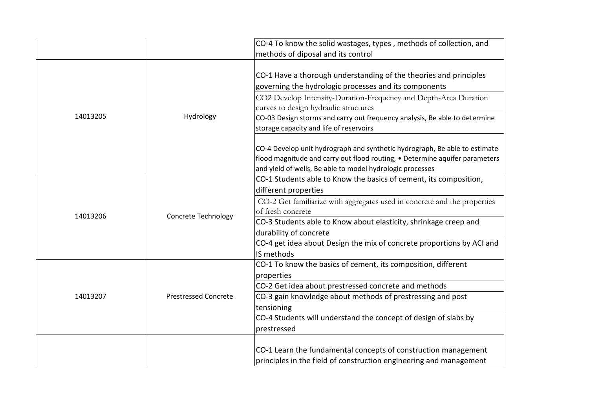|          |                             | CO-4 To know the solid wastages, types, methods of collection, and<br>methods of diposal and its control                                                                                                               |
|----------|-----------------------------|------------------------------------------------------------------------------------------------------------------------------------------------------------------------------------------------------------------------|
|          | Hydrology                   | CO-1 Have a thorough understanding of the theories and principles<br>governing the hydrologic processes and its components<br>CO2 Develop Intensity-Duration-Frequency and Depth-Area Duration                         |
| 14013205 |                             | curves to design hydraulic structures<br>CO-03 Design storms and carry out frequency analysis, Be able to determine<br>storage capacity and life of reservoirs                                                         |
|          |                             | CO-4 Develop unit hydrograph and synthetic hydrograph, Be able to estimate<br>flood magnitude and carry out flood routing, . Determine aquifer parameters<br>and yield of wells, Be able to model hydrologic processes |
|          | <b>Concrete Technology</b>  | CO-1 Students able to Know the basics of cement, its composition,<br>different properties                                                                                                                              |
|          |                             | CO-2 Get familiarize with aggregates used in concrete and the properties<br>of fresh concrete                                                                                                                          |
| 14013206 |                             | CO-3 Students able to Know about elasticity, shrinkage creep and<br>durability of concrete                                                                                                                             |
|          |                             | CO-4 get idea about Design the mix of concrete proportions by ACI and<br>IS methods                                                                                                                                    |
|          |                             | CO-1 To know the basics of cement, its composition, different<br>properties                                                                                                                                            |
| 14013207 | <b>Prestressed Concrete</b> | CO-2 Get idea about prestressed concrete and methods<br>CO-3 gain knowledge about methods of prestressing and post                                                                                                     |
|          |                             | tensioning<br>CO-4 Students will understand the concept of design of slabs by<br>prestressed                                                                                                                           |
|          |                             | CO-1 Learn the fundamental concepts of construction management<br>principles in the field of construction engineering and management                                                                                   |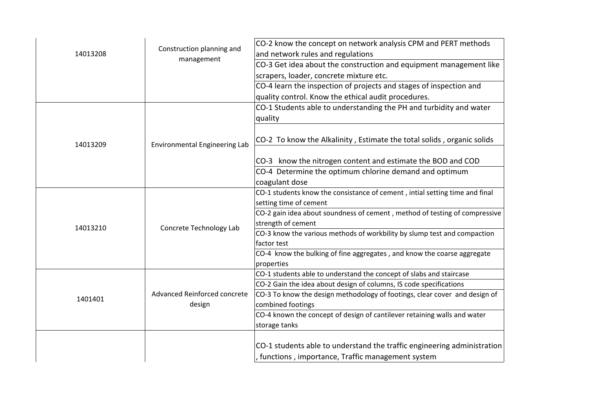| 14013208 | Construction planning and            | CO-2 know the concept on network analysis CPM and PERT methods              |
|----------|--------------------------------------|-----------------------------------------------------------------------------|
|          |                                      | and network rules and regulations                                           |
|          | management                           | CO-3 Get idea about the construction and equipment management like          |
|          |                                      | scrapers, loader, concrete mixture etc.                                     |
|          |                                      | CO-4 learn the inspection of projects and stages of inspection and          |
|          |                                      | quality control. Know the ethical audit procedures.                         |
|          |                                      | CO-1 Students able to understanding the PH and turbidity and water          |
|          |                                      | quality                                                                     |
|          |                                      |                                                                             |
|          |                                      | CO-2 To know the Alkalinity, Estimate the total solids, organic solids      |
| 14013209 | <b>Environmental Engineering Lab</b> |                                                                             |
|          |                                      | CO-3 know the nitrogen content and estimate the BOD and COD                 |
|          |                                      | CO-4 Determine the optimum chlorine demand and optimum                      |
|          |                                      | coagulant dose                                                              |
|          |                                      | CO-1 students know the consistance of cement, intial setting time and final |
|          | Concrete Technology Lab              | setting time of cement                                                      |
|          |                                      | CO-2 gain idea about soundness of cement, method of testing of compressive  |
| 14013210 |                                      | strength of cement                                                          |
|          |                                      | CO-3 know the various methods of workbility by slump test and compaction    |
|          |                                      | factor test                                                                 |
|          |                                      | CO-4 know the bulking of fine aggregates, and know the coarse aggregate     |
|          |                                      | properties                                                                  |
|          |                                      | CO-1 students able to understand the concept of slabs and staircase         |
| 1401401  |                                      | CO-2 Gain the idea about design of columns, IS code specifications          |
|          | Advanced Reinforced concrete         | CO-3 To know the design methodology of footings, clear cover and design of  |
|          | design                               | combined footings                                                           |
|          |                                      | CO-4 known the concept of design of cantilever retaining walls and water    |
|          |                                      | storage tanks                                                               |
|          |                                      |                                                                             |
|          |                                      | CO-1 students able to understand the traffic engineering administration     |
|          |                                      | , functions, importance, Traffic management system                          |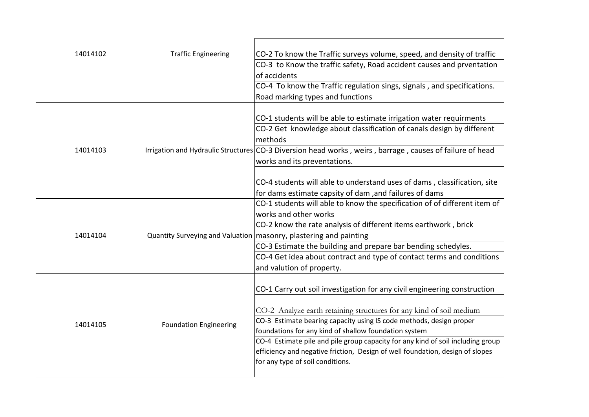| 14014102 | <b>Traffic Engineering</b>    | CO-2 To know the Traffic surveys volume, speed, and density of traffic<br>CO-3 to Know the traffic safety, Road accident causes and prventation<br>of accidents<br>CO-4 To know the Traffic regulation sings, signals, and specifications.<br>Road marking types and functions                                                                                                                                                                                                          |
|----------|-------------------------------|-----------------------------------------------------------------------------------------------------------------------------------------------------------------------------------------------------------------------------------------------------------------------------------------------------------------------------------------------------------------------------------------------------------------------------------------------------------------------------------------|
| 14014103 |                               | CO-1 students will be able to estimate irrigation water requirments<br>CO-2 Get knowledge about classification of canals design by different<br>methods                                                                                                                                                                                                                                                                                                                                 |
|          |                               | Irrigation and Hydraulic Structures CO-3 Diversion head works, weirs, barrage, causes of failure of head<br>works and its preventations.<br>CO-4 students will able to understand uses of dams, classification, site<br>for dams estimate capsity of dam, and failures of dams                                                                                                                                                                                                          |
| 14014104 |                               | CO-1 students will able to know the specification of of different item of<br>works and other works<br>CO-2 know the rate analysis of different items earthwork, brick<br>Quantity Surveying and Valuation   masonry, plastering and painting<br>CO-3 Estimate the building and prepare bar bending schedyles.<br>CO-4 Get idea about contract and type of contact terms and conditions<br>and valution of property.                                                                     |
| 14014105 | <b>Foundation Engineering</b> | CO-1 Carry out soil investigation for any civil engineering construction<br>CO-2 Analyze earth retaining structures for any kind of soil medium<br>CO-3 Estimate bearing capacity using IS code methods, design proper<br>foundations for any kind of shallow foundation system<br>CO-4 Estimate pile and pile group capacity for any kind of soil including group<br>efficiency and negative friction, Design of well foundation, design of slopes<br>for any type of soil conditions. |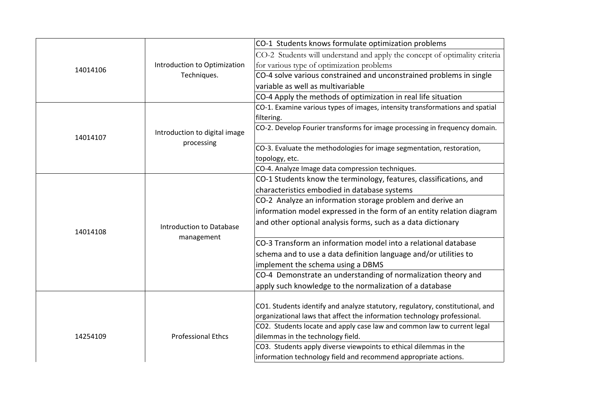|          |                                               | CO-1 Students knows formulate optimization problems                           |
|----------|-----------------------------------------------|-------------------------------------------------------------------------------|
| 14014106 | Introduction to Optimization<br>Techniques.   | CO-2 Students will understand and apply the concept of optimality criteria    |
|          |                                               | for various type of optimization problems                                     |
|          |                                               | CO-4 solve various constrained and unconstrained problems in single           |
|          |                                               | variable as well as multivariable                                             |
|          |                                               | CO-4 Apply the methods of optimization in real life situation                 |
|          | Introduction to digital image<br>processing   | CO-1. Examine various types of images, intensity transformations and spatial  |
|          |                                               | filtering.                                                                    |
| 14014107 |                                               | CO-2. Develop Fourier transforms for image processing in frequency domain.    |
|          |                                               | CO-3. Evaluate the methodologies for image segmentation, restoration,         |
|          |                                               | topology, etc.                                                                |
|          |                                               | CO-4. Analyze Image data compression techniques.                              |
|          |                                               | CO-1 Students know the terminology, features, classifications, and            |
|          | <b>Introduction to Database</b><br>management | characteristics embodied in database systems                                  |
|          |                                               | CO-2 Analyze an information storage problem and derive an                     |
|          |                                               | information model expressed in the form of an entity relation diagram         |
| 14014108 |                                               | and other optional analysis forms, such as a data dictionary                  |
|          |                                               | CO-3 Transform an information model into a relational database                |
|          |                                               | schema and to use a data definition language and/or utilities to              |
|          |                                               | implement the schema using a DBMS                                             |
|          |                                               | CO-4 Demonstrate an understanding of normalization theory and                 |
|          |                                               | apply such knowledge to the normalization of a database                       |
|          |                                               |                                                                               |
|          |                                               | CO1. Students identify and analyze statutory, regulatory, constitutional, and |
| 14254109 | <b>Professional Ethcs</b>                     | organizational laws that affect the information technology professional.      |
|          |                                               | CO2. Students locate and apply case law and common law to current legal       |
|          |                                               | dilemmas in the technology field.                                             |
|          |                                               | CO3. Students apply diverse viewpoints to ethical dilemmas in the             |
|          |                                               | information technology field and recommend appropriate actions.               |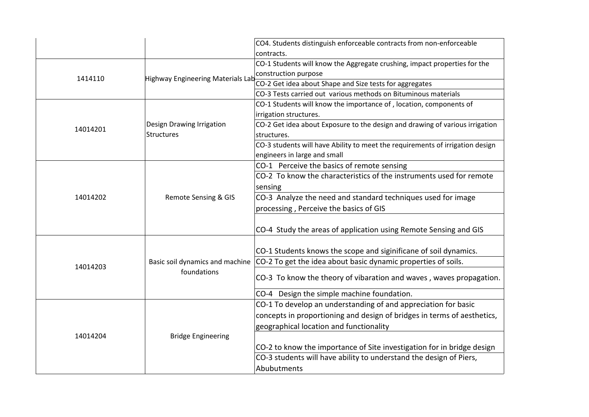|                                                | CO4. Students distinguish enforceable contracts from non-enforceable          |
|------------------------------------------------|-------------------------------------------------------------------------------|
|                                                | contracts.                                                                    |
|                                                | CO-1 Students will know the Aggregate crushing, impact properties for the     |
| Highway Engineering Materials Lab              | construction purpose                                                          |
|                                                | CO-2 Get idea about Shape and Size tests for aggregates                       |
|                                                | CO-3 Tests carried out various methods on Bituminous materials                |
| Design Drawing Irrigation<br><b>Structures</b> | CO-1 Students will know the importance of, location, components of            |
|                                                | irrigation structures.                                                        |
|                                                | CO-2 Get idea about Exposure to the design and drawing of various irrigation  |
|                                                | structures.                                                                   |
|                                                | CO-3 students will have Ability to meet the requirements of irrigation design |
|                                                | engineers in large and small                                                  |
|                                                | CO-1 Perceive the basics of remote sensing                                    |
|                                                | CO-2 To know the characteristics of the instruments used for remote           |
| Remote Sensing & GIS                           | sensing                                                                       |
|                                                | CO-3 Analyze the need and standard techniques used for image                  |
|                                                | processing, Perceive the basics of GIS                                        |
|                                                |                                                                               |
|                                                | CO-4 Study the areas of application using Remote Sensing and GIS              |
|                                                |                                                                               |
| Basic soil dynamics and machine<br>foundations | CO-1 Students knows the scope and siginificane of soil dynamics.              |
|                                                | CO-2 To get the idea about basic dynamic properties of soils.                 |
|                                                | CO-3 To know the theory of vibaration and waves, waves propagation.           |
|                                                | CO-4 Design the simple machine foundation.                                    |
| <b>Bridge Engineering</b>                      | CO-1 To develop an understanding of and appreciation for basic                |
|                                                | concepts in proportioning and design of bridges in terms of aesthetics,       |
|                                                | geographical location and functionality                                       |
|                                                |                                                                               |
|                                                | CO-2 to know the importance of Site investigation for in bridge design        |
|                                                | CO-3 students will have ability to understand the design of Piers,            |
|                                                | Abubutments                                                                   |
|                                                |                                                                               |